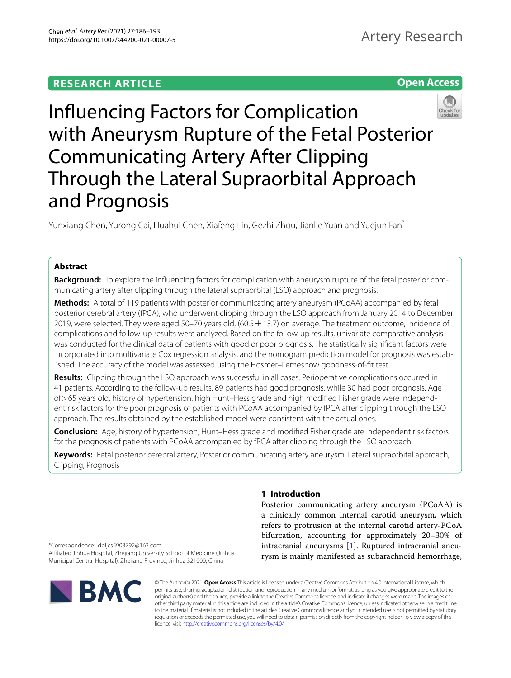# **Open Access**



Infuencing Factors for Complication with Aneurysm Rupture of the Fetal Posterior Communicating Artery After Clipping Through the Lateral Supraorbital Approach and Prognosis

Yunxiang Chen, Yurong Cai, Huahui Chen, Xiafeng Lin, Gezhi Zhou, Jianlie Yuan and Yuejun Fan\*

# **Abstract**

**Background:** To explore the infuencing factors for complication with aneurysm rupture of the fetal posterior communicating artery after clipping through the lateral supraorbital (LSO) approach and prognosis.

**Methods:** A total of 119 patients with posterior communicating artery aneurysm (PCoAA) accompanied by fetal posterior cerebral artery (fPCA), who underwent clipping through the LSO approach from January 2014 to December 2019, were selected. They were aged 50–70 years old,  $(60.5 \pm 13.7)$  on average. The treatment outcome, incidence of complications and follow-up results were analyzed. Based on the follow-up results, univariate comparative analysis was conducted for the clinical data of patients with good or poor prognosis. The statistically signifcant factors were incorporated into multivariate Cox regression analysis, and the nomogram prediction model for prognosis was established. The accuracy of the model was assessed using the Hosmer–Lemeshow goodness-of-ft test.

**Results:** Clipping through the LSO approach was successful in all cases. Perioperative complications occurred in 41 patients. According to the follow-up results, 89 patients had good prognosis, while 30 had poor prognosis. Age of>65 years old, history of hypertension, high Hunt–Hess grade and high modifed Fisher grade were independent risk factors for the poor prognosis of patients with PCoAA accompanied by fPCA after clipping through the LSO approach. The results obtained by the established model were consistent with the actual ones.

**Conclusion:** Age, history of hypertension, Hunt–Hess grade and modifed Fisher grade are independent risk factors for the prognosis of patients with PCoAA accompanied by fPCA after clipping through the LSO approach.

**Keywords:** Fetal posterior cerebral artery, Posterior communicating artery aneurysm, Lateral supraorbital approach, Clipping, Prognosis

# **1 Introduction**

Posterior communicating artery aneurysm (PCoAA) is a clinically common internal carotid aneurysm, which refers to protrusion at the internal carotid artery-PCoA bifurcation, accounting for approximately 20–30% of intracranial aneurysms [\[1](#page-7-0)]. Ruptured intracranial aneurysm is mainly manifested as subarachnoid hemorrhage,

\*Correspondence: dpljcs5903792@163.com

Afliated Jinhua Hospital, Zhejiang University School of Medicine (Jinhua Municipal Central Hospital), Zhejiang Province, Jinhua 321000, China



© The Author(s) 2021. **Open Access** This article is licensed under a Creative Commons Attribution 4.0 International License, which permits use, sharing, adaptation, distribution and reproduction in any medium or format, as long as you give appropriate credit to the original author(s) and the source, provide a link to the Creative Commons licence, and indicate if changes were made. The images or other third party material in this article are included in the article's Creative Commons licence, unless indicated otherwise in a credit line to the material. If material is not included in the article's Creative Commons licence and your intended use is not permitted by statutory regulation or exceeds the permitted use, you will need to obtain permission directly from the copyright holder. To view a copy of this licence, visit [http://creativecommons.org/licenses/by/4.0/.](http://creativecommons.org/licenses/by/4.0/)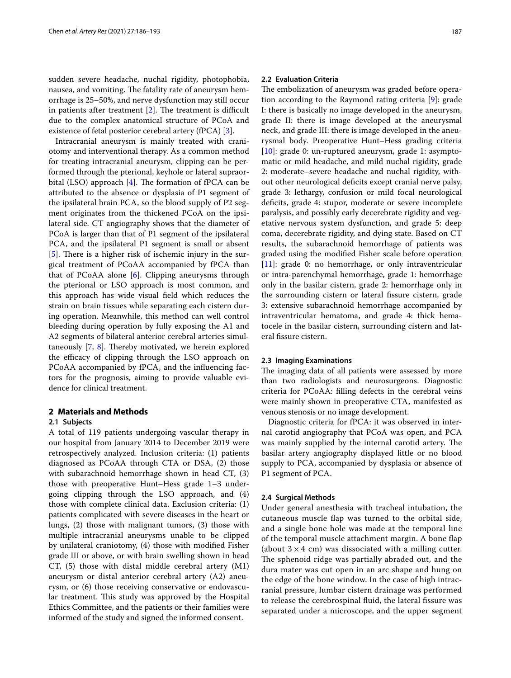sudden severe headache, nuchal rigidity, photophobia, nausea, and vomiting. The fatality rate of aneurysm hemorrhage is 25–50%, and nerve dysfunction may still occur in patients after treatment  $[2]$ . The treatment is difficult due to the complex anatomical structure of PCoA and existence of fetal posterior cerebral artery (fPCA) [\[3\]](#page-7-2).

Intracranial aneurysm is mainly treated with craniotomy and interventional therapy. As a common method for treating intracranial aneurysm, clipping can be performed through the pterional, keyhole or lateral supraorbital (LSO) approach  $[4]$  $[4]$ . The formation of fPCA can be attributed to the absence or dysplasia of P1 segment of the ipsilateral brain PCA, so the blood supply of P2 segment originates from the thickened PCoA on the ipsilateral side. CT angiography shows that the diameter of PCoA is larger than that of P1 segment of the ipsilateral PCA, and the ipsilateral P1 segment is small or absent  $[5]$  $[5]$ . There is a higher risk of ischemic injury in the surgical treatment of PCoAA accompanied by fPCA than that of PCoAA alone [[6\]](#page-7-5). Clipping aneurysms through the pterional or LSO approach is most common, and this approach has wide visual feld which reduces the strain on brain tissues while separating each cistern during operation. Meanwhile, this method can well control bleeding during operation by fully exposing the A1 and A2 segments of bilateral anterior cerebral arteries simultaneously  $[7, 8]$  $[7, 8]$  $[7, 8]$  $[7, 8]$ . Thereby motivated, we herein explored the efficacy of clipping through the LSO approach on PCoAA accompanied by fPCA, and the infuencing factors for the prognosis, aiming to provide valuable evidence for clinical treatment.

## **2 Materials and Methods**

#### **2.1 Subjects**

A total of 119 patients undergoing vascular therapy in our hospital from January 2014 to December 2019 were retrospectively analyzed. Inclusion criteria: (1) patients diagnosed as PCoAA through CTA or DSA, (2) those with subarachnoid hemorrhage shown in head CT, (3) those with preoperative Hunt–Hess grade 1–3 undergoing clipping through the LSO approach, and (4) those with complete clinical data. Exclusion criteria: (1) patients complicated with severe diseases in the heart or lungs, (2) those with malignant tumors, (3) those with multiple intracranial aneurysms unable to be clipped by unilateral craniotomy, (4) those with modifed Fisher grade III or above, or with brain swelling shown in head CT, (5) those with distal middle cerebral artery (M1) aneurysm or distal anterior cerebral artery (A2) aneurysm, or (6) those receiving conservative or endovascular treatment. This study was approved by the Hospital Ethics Committee, and the patients or their families were informed of the study and signed the informed consent.

### **2.2 Evaluation Criteria**

The embolization of aneurysm was graded before operation according to the Raymond rating criteria [\[9](#page-7-8)]: grade I: there is basically no image developed in the aneurysm, grade II: there is image developed at the aneurysmal neck, and grade III: there is image developed in the aneurysmal body. Preoperative Hunt–Hess grading criteria [[10\]](#page-7-9): grade 0: un-ruptured aneurysm, grade 1: asymptomatic or mild headache, and mild nuchal rigidity, grade 2: moderate–severe headache and nuchal rigidity, without other neurological deficits except cranial nerve palsy, grade 3: lethargy, confusion or mild focal neurological defcits, grade 4: stupor, moderate or severe incomplete paralysis, and possibly early decerebrate rigidity and vegetative nervous system dysfunction, and grade 5: deep coma, decerebrate rigidity, and dying state. Based on CT results, the subarachnoid hemorrhage of patients was graded using the modifed Fisher scale before operation [[11\]](#page-7-10): grade 0: no hemorrhage, or only intraventricular or intra-parenchymal hemorrhage, grade 1: hemorrhage only in the basilar cistern, grade 2: hemorrhage only in the surrounding cistern or lateral fissure cistern, grade 3: extensive subarachnoid hemorrhage accompanied by intraventricular hematoma, and grade 4: thick hematocele in the basilar cistern, surrounding cistern and lateral fissure cistern.

#### **2.3 Imaging Examinations**

The imaging data of all patients were assessed by more than two radiologists and neurosurgeons. Diagnostic criteria for PCoAA: flling defects in the cerebral veins were mainly shown in preoperative CTA, manifested as venous stenosis or no image development.

Diagnostic criteria for fPCA: it was observed in internal carotid angiography that PCoA was open, and PCA was mainly supplied by the internal carotid artery. The basilar artery angiography displayed little or no blood supply to PCA, accompanied by dysplasia or absence of P1 segment of PCA.

#### **2.4 Surgical Methods**

Under general anesthesia with tracheal intubation, the cutaneous muscle fap was turned to the orbital side, and a single bone hole was made at the temporal line of the temporal muscle attachment margin. A bone flap (about  $3 \times 4$  cm) was dissociated with a milling cutter. The sphenoid ridge was partially abraded out, and the dura mater was cut open in an arc shape and hung on the edge of the bone window. In the case of high intracranial pressure, lumbar cistern drainage was performed to release the cerebrospinal fuid, the lateral fssure was separated under a microscope, and the upper segment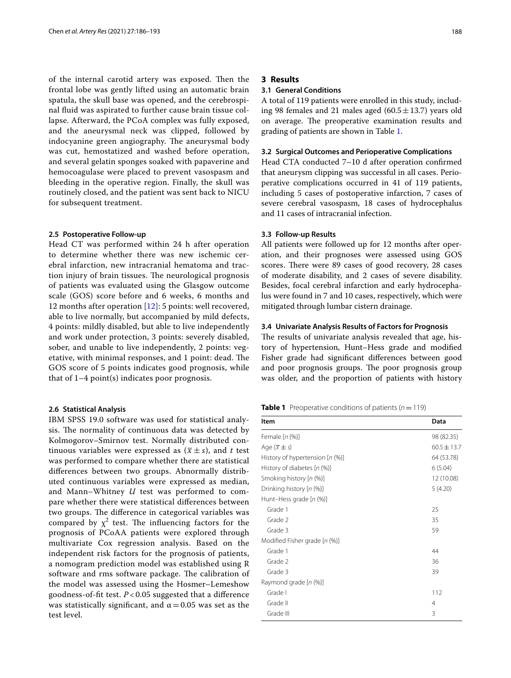of the internal carotid artery was exposed. Then the frontal lobe was gently lifted using an automatic brain spatula, the skull base was opened, and the cerebrospinal fuid was aspirated to further cause brain tissue collapse. Afterward, the PCoA complex was fully exposed, and the aneurysmal neck was clipped, followed by indocyanine green angiography. The aneurysmal body was cut, hemostatized and washed before operation, and several gelatin sponges soaked with papaverine and hemocoagulase were placed to prevent vasospasm and bleeding in the operative region. Finally, the skull was routinely closed, and the patient was sent back to NICU for subsequent treatment.

#### **2.5 Postoperative Follow‑up**

Head CT was performed within 24 h after operation to determine whether there was new ischemic cerebral infarction, new intracranial hematoma and traction injury of brain tissues. The neurological prognosis of patients was evaluated using the Glasgow outcome scale (GOS) score before and 6 weeks, 6 months and 12 months after operation [\[12](#page-7-11)]: 5 points: well recovered, able to live normally, but accompanied by mild defects, 4 points: mildly disabled, but able to live independently and work under protection, 3 points: severely disabled, sober, and unable to live independently, 2 points: vegetative, with minimal responses, and 1 point: dead. The GOS score of 5 points indicates good prognosis, while that of 1–4 point(s) indicates poor prognosis.

## **2.6 Statistical Analysis**

IBM SPSS 19.0 software was used for statistical analysis. The normality of continuous data was detected by Kolmogorov–Smirnov test. Normally distributed continuous variables were expressed as  $(\bar{x} \pm s)$ , and *t* test was performed to compare whether there are statistical diferences between two groups. Abnormally distributed continuous variables were expressed as median, and Mann–Whitney *U* test was performed to compare whether there were statistical diferences between two groups. The difference in categorical variables was compared by  $\chi^2$  test. The influencing factors for the prognosis of PCoAA patients were explored through multivariate Cox regression analysis. Based on the independent risk factors for the prognosis of patients, a nomogram prediction model was established using R software and rms software package. The calibration of the model was assessed using the Hosmer–Lemeshow goodness-of-ft test. *P* < 0.05 suggested that a diference was statistically significant, and  $\alpha$  = 0.05 was set as the test level.

### **3 Results**

### **3.1 General Conditions**

A total of 119 patients were enrolled in this study, including 98 females and 21 males aged  $(60.5 \pm 13.7)$  years old on average. The preoperative examination results and grading of patients are shown in Table [1](#page-2-0).

#### **3.2 Surgical Outcomes and Perioperative Complications**

Head CTA conducted 7–10 d after operation confrmed that aneurysm clipping was successful in all cases. Perioperative complications occurred in 41 of 119 patients, including 5 cases of postoperative infarction, 7 cases of severe cerebral vasospasm, 18 cases of hydrocephalus and 11 cases of intracranial infection.

#### **3.3 Follow‑up Results**

All patients were followed up for 12 months after operation, and their prognoses were assessed using GOS scores. There were 89 cases of good recovery, 28 cases of moderate disability, and 2 cases of severe disability. Besides, focal cerebral infarction and early hydrocephalus were found in 7 and 10 cases, respectively, which were mitigated through lumbar cistern drainage.

#### **3.4 Univariate Analysis Results of Factors for Prognosis**

The results of univariate analysis revealed that age, history of hypertension, Hunt–Hess grade and modifed Fisher grade had signifcant diferences between good and poor prognosis groups. The poor prognosis group was older, and the proportion of patients with history

<span id="page-2-0"></span>

| <b>Table 1</b> Preoperative conditions of patients ( $n = 119$ ) |  |
|------------------------------------------------------------------|--|
|------------------------------------------------------------------|--|

| Item                                 | Data          |  |  |  |
|--------------------------------------|---------------|--|--|--|
| Female [n (%)]                       | 98 (82.35)    |  |  |  |
| Age $(\overline{x} \pm s)$           | $60.5 + 13.7$ |  |  |  |
| History of hypertension $[n \ (\%)]$ | 64 (53.78)    |  |  |  |
| History of diabetes [n (%)]          | 6(5.04)       |  |  |  |
| Smoking history [n (%)]              | 12 (10.08)    |  |  |  |
| Drinking history [n (%)]             | 5(4.20)       |  |  |  |
| Hunt-Hess grade [n (%)]              |               |  |  |  |
| Grade 1                              | 25            |  |  |  |
| Grade 2                              | 35            |  |  |  |
| Grade 3                              | 59            |  |  |  |
| Modified Fisher grade [n (%)]        |               |  |  |  |
| Grade 1                              | 44            |  |  |  |
| Grade 2                              | 36            |  |  |  |
| Grade 3                              | 39            |  |  |  |
| Raymond grade [n (%)]                |               |  |  |  |
| Grade I                              | 112           |  |  |  |
| Grade II                             | 4             |  |  |  |
| Grade III                            | 3             |  |  |  |
|                                      |               |  |  |  |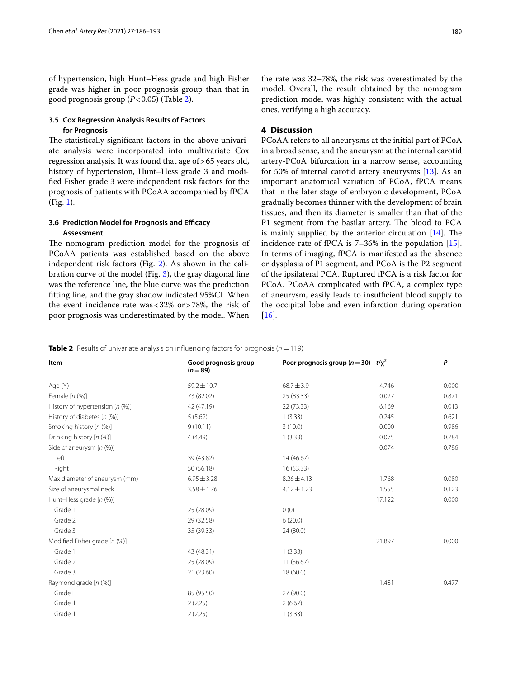of hypertension, high Hunt–Hess grade and high Fisher grade was higher in poor prognosis group than that in good prognosis group (*P*<0.05) (Table [2](#page-3-0)).

# **3.5 Cox Regression Analysis Results of Factors for Prognosis**

The statistically significant factors in the above univariate analysis were incorporated into multivariate Cox regression analysis. It was found that age of>65 years old, history of hypertension, Hunt–Hess grade 3 and modifed Fisher grade 3 were independent risk factors for the prognosis of patients with PCoAA accompanied by fPCA (Fig. [1\)](#page-4-0).

## **3.6 Prediction Model for Prognosis and Efficacy Assessment**

The nomogram prediction model for the prognosis of PCoAA patients was established based on the above independent risk factors (Fig. [2](#page-5-0)). As shown in the calibration curve of the model (Fig. [3\)](#page-6-0), the gray diagonal line was the reference line, the blue curve was the prediction ftting line, and the gray shadow indicated 95%CI. When the event incidence rate was<32% or>78%, the risk of poor prognosis was underestimated by the model. When

the rate was 32–78%, the risk was overestimated by the model. Overall, the result obtained by the nomogram prediction model was highly consistent with the actual ones, verifying a high accuracy.

# **4 Discussion**

PCoAA refers to all aneurysms at the initial part of PCoA in a broad sense, and the aneurysm at the internal carotid artery-PCoA bifurcation in a narrow sense, accounting for 50% of internal carotid artery aneurysms [\[13](#page-7-12)]. As an important anatomical variation of PCoA, fPCA means that in the later stage of embryonic development, PCoA gradually becomes thinner with the development of brain tissues, and then its diameter is smaller than that of the P1 segment from the basilar artery. The blood to PCA is mainly supplied by the anterior circulation  $[14]$  $[14]$ . The incidence rate of fPCA is 7–36% in the population [\[15](#page-7-14)]. In terms of imaging, fPCA is manifested as the absence or dysplasia of P1 segment, and PCoA is the P2 segment of the ipsilateral PCA. Ruptured fPCA is a risk factor for PCoA. PCoAA complicated with fPCA, a complex type of aneurysm, easily leads to insufficient blood supply to the occipital lobe and even infarction during operation [[16\]](#page-7-15).

<span id="page-3-0"></span>**Table 2** Results of univariate analysis on influencing factors for prognosis  $(n=119)$ 

| Item                            | Good prognosis group<br>$(n = 89)$ | Poor prognosis group ( $n = 30$ ) $t/\chi^2$ |        | P     |
|---------------------------------|------------------------------------|----------------------------------------------|--------|-------|
| Age (Y)                         | $59.2 \pm 10.7$                    | $68.7 \pm 3.9$                               | 4.746  | 0.000 |
| Female $[n (%)]$                | 73 (82.02)                         | 25 (83.33)                                   | 0.027  | 0.871 |
| History of hypertension [n (%)] | 42 (47.19)                         | 22(73.33)                                    | 6.169  | 0.013 |
| History of diabetes [n (%)]     | 5(5.62)                            | 1(3.33)                                      | 0.245  | 0.621 |
| Smoking history [n (%)]         | 9(10.11)                           | 3(10.0)                                      | 0.000  | 0.986 |
| Drinking history [n (%)]        | 4(4.49)                            | 1(3.33)                                      | 0.075  | 0.784 |
| Side of aneurysm $[n (%)]$      |                                    |                                              | 0.074  | 0.786 |
| Left                            | 39 (43.82)                         | 14(46.67)                                    |        |       |
| Right                           | 50 (56.18)                         | 16(53.33)                                    |        |       |
| Max diameter of aneurysm (mm)   | $6.95 \pm 3.28$                    | $8.26 \pm 4.13$                              | 1.768  | 0.080 |
| Size of aneurysmal neck         | $3.58 \pm 1.76$                    | $4.12 \pm 1.23$                              | 1.555  | 0.123 |
| Hunt-Hess grade [n (%)]         |                                    |                                              | 17.122 | 0.000 |
| Grade 1                         | 25 (28.09)                         | 0(0)                                         |        |       |
| Grade 2                         | 29 (32.58)                         | 6(20.0)                                      |        |       |
| Grade 3                         | 35 (39.33)                         | 24 (80.0)                                    |        |       |
| Modified Fisher grade [n (%)]   |                                    |                                              | 21.897 | 0.000 |
| Grade 1                         | 43 (48.31)                         | 1(3.33)                                      |        |       |
| Grade 2                         | 25 (28.09)                         | 11(36.67)                                    |        |       |
| Grade 3                         | 21(23.60)                          | 18 (60.0)                                    |        |       |
| Raymond grade [n (%)]           |                                    |                                              | 1.481  | 0.477 |
| Grade I                         | 85 (95.50)                         | 27 (90.0)                                    |        |       |
| Grade II                        | 2(2.25)                            | 2(6.67)                                      |        |       |
| Grade III                       | 2(2.25)                            | 1(3.33)                                      |        |       |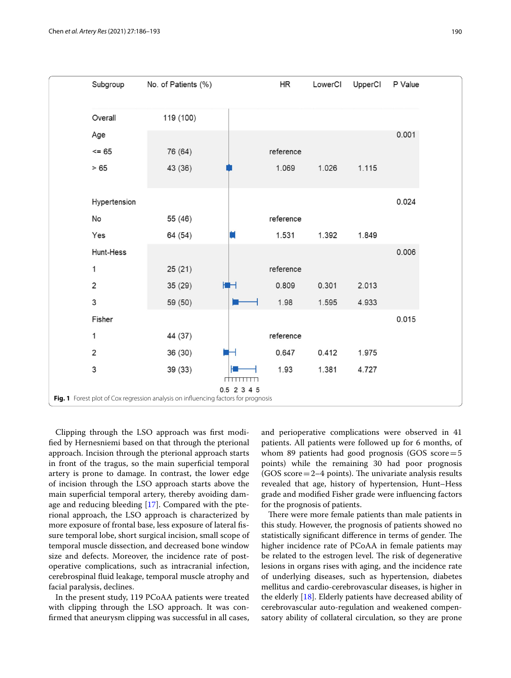

<span id="page-4-0"></span>Clipping through the LSO approach was frst modifed by Hernesniemi based on that through the pterional approach. Incision through the pterional approach starts in front of the tragus, so the main superficial temporal artery is prone to damage. In contrast, the lower edge of incision through the LSO approach starts above the main superfcial temporal artery, thereby avoiding damage and reducing bleeding [[17\]](#page-7-16). Compared with the pterional approach, the LSO approach is characterized by more exposure of frontal base, less exposure of lateral fssure temporal lobe, short surgical incision, small scope of temporal muscle dissection, and decreased bone window size and defects. Moreover, the incidence rate of postoperative complications, such as intracranial infection, cerebrospinal fuid leakage, temporal muscle atrophy and facial paralysis, declines.

In the present study, 119 PCoAA patients were treated with clipping through the LSO approach. It was confrmed that aneurysm clipping was successful in all cases, and perioperative complications were observed in 41 patients. All patients were followed up for 6 months, of whom 89 patients had good prognosis (GOS score=5 points) while the remaining 30 had poor prognosis  $(GOS score = 2-4 points)$ . The univariate analysis results revealed that age, history of hypertension, Hunt–Hess grade and modifed Fisher grade were infuencing factors for the prognosis of patients.

There were more female patients than male patients in this study. However, the prognosis of patients showed no statistically significant difference in terms of gender. The higher incidence rate of PCoAA in female patients may be related to the estrogen level. The risk of degenerative lesions in organs rises with aging, and the incidence rate of underlying diseases, such as hypertension, diabetes mellitus and cardio-cerebrovascular diseases, is higher in the elderly [[18](#page-7-17)]. Elderly patients have decreased ability of cerebrovascular auto-regulation and weakened compensatory ability of collateral circulation, so they are prone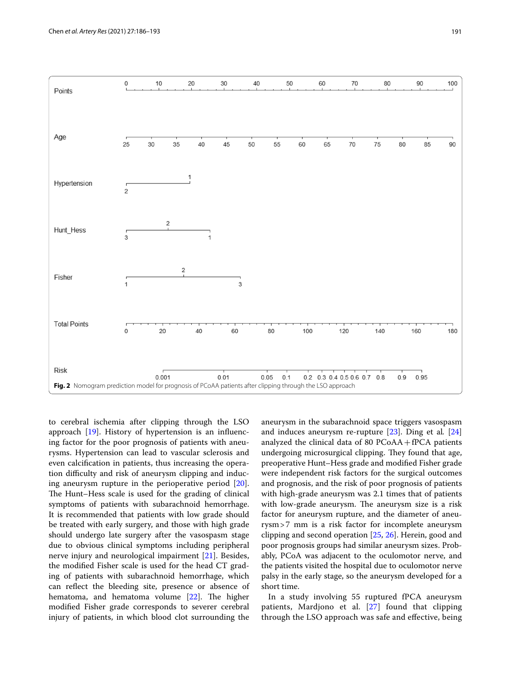

<span id="page-5-0"></span>to cerebral ischemia after clipping through the LSO approach [\[19](#page-7-18)]. History of hypertension is an infuencing factor for the poor prognosis of patients with aneurysms. Hypertension can lead to vascular sclerosis and even calcifcation in patients, thus increasing the operation difculty and risk of aneurysm clipping and inducing aneurysm rupture in the perioperative period [\[20](#page-7-19)]. The Hunt–Hess scale is used for the grading of clinical symptoms of patients with subarachnoid hemorrhage. It is recommended that patients with low grade should be treated with early surgery, and those with high grade should undergo late surgery after the vasospasm stage due to obvious clinical symptoms including peripheral nerve injury and neurological impairment [[21\]](#page-7-20). Besides, the modifed Fisher scale is used for the head CT grading of patients with subarachnoid hemorrhage, which can refect the bleeding site, presence or absence of hematoma, and hematoma volume  $[22]$  $[22]$  $[22]$ . The higher modifed Fisher grade corresponds to severer cerebral injury of patients, in which blood clot surrounding the aneurysm in the subarachnoid space triggers vasospasm and induces aneurysm re-rupture [[23\]](#page-7-22). Ding et al*.* [[24](#page-7-23)] analyzed the clinical data of 80 PCoAA+fPCA patients undergoing microsurgical clipping. They found that age, preoperative Hunt–Hess grade and modifed Fisher grade were independent risk factors for the surgical outcomes and prognosis, and the risk of poor prognosis of patients with high-grade aneurysm was 2.1 times that of patients with low-grade aneurysm. The aneurysm size is a risk factor for aneurysm rupture, and the diameter of aneurysm>7 mm is a risk factor for incomplete aneurysm clipping and second operation [[25,](#page-7-24) [26](#page-7-25)]. Herein, good and poor prognosis groups had similar aneurysm sizes. Probably, PCoA was adjacent to the oculomotor nerve, and the patients visited the hospital due to oculomotor nerve palsy in the early stage, so the aneurysm developed for a short time.

In a study involving 55 ruptured fPCA aneurysm patients, Mardjono et al. [\[27](#page-7-26)] found that clipping through the LSO approach was safe and efective, being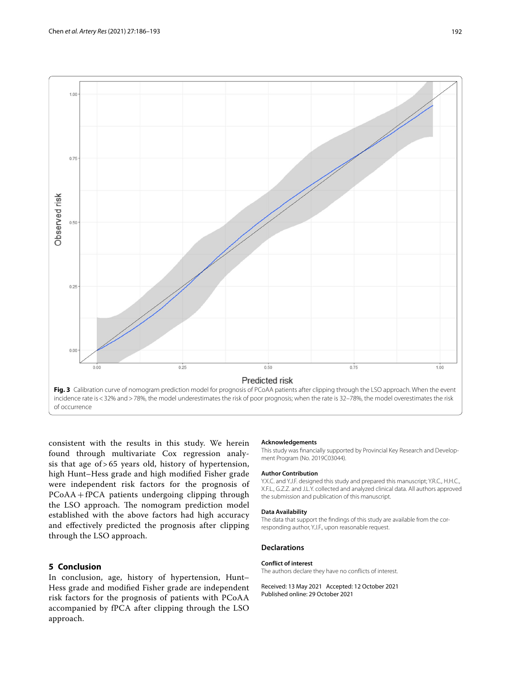

<span id="page-6-0"></span>consistent with the results in this study. We herein found through multivariate Cox regression analysis that age of > 65 years old, history of hypertension, high Hunt–Hess grade and high modifed Fisher grade were independent risk factors for the prognosis of PCoAA+fPCA patients undergoing clipping through the LSO approach. The nomogram prediction model established with the above factors had high accuracy and efectively predicted the prognosis after clipping through the LSO approach.

# **5 Conclusion**

In conclusion, age, history of hypertension, Hunt– Hess grade and modifed Fisher grade are independent risk factors for the prognosis of patients with PCoAA accompanied by fPCA after clipping through the LSO approach.

#### **Acknowledgements**

This study was fnancially supported by Provincial Key Research and Development Program (No. 2019C03044).

#### **Author Contribution**

Y.X.C. and Y.J.F. designed this study and prepared this manuscript; Y.R.C., H.H.C., X.F.L., G.Z.Z. and J.L.Y. collected and analyzed clinical data. All authors approved the submission and publication of this manuscript.

#### **Data Availability**

The data that support the fndings of this study are available from the corresponding author, Y.J.F., upon reasonable request.

### **Declarations**

#### **Conflict of interest**

The authors declare they have no conficts of interest.

Received: 13 May 2021 Accepted: 12 October 2021 Published online: 29 October 2021